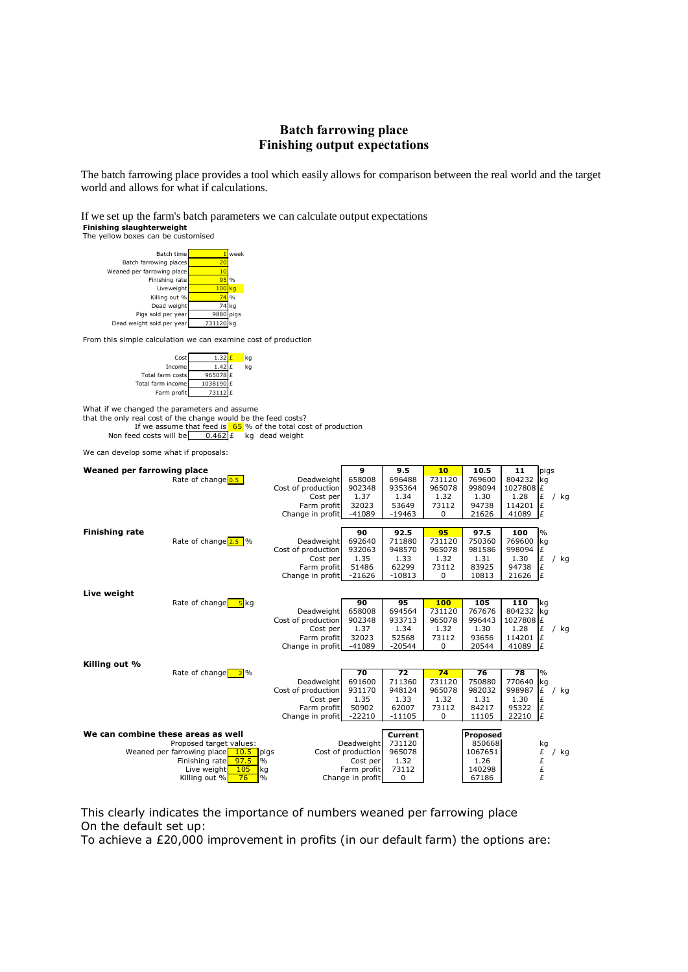## **Batch farrowing place Finishing output expectations**

The batch farrowing place provides a tool which easily allows for comparison between the real world and the target world and allows for what if calculations.

If we set up the farm's batch parameters we can calculate output expectations **Finishing slaughterweight**

The yellow boxes can be customised Batch time **1** week Batch farrowing place Weaned per farrowing place Finishing rate Liveweight 100 kg Killing out % Dead weight 74 kg Pigs sold per year 9880 pigs Dead weight sold per year 731120 From this simple calculation we can examine cost of production  $Cost$  1.32  $\f{k}$  kg Income  $1.42 \text{ f}$  kg Total farm costs 96507 Total farm income 1038190 Farm profit  $\sqrt{73112}$ What if we changed the parameters and assume that the only real cost of the change would be the feed costs? If we assume that feed is  $\begin{array}{|l|l|l|} \hline 65\% & \hline 66 \end{array}$  of the total cost of production ed costs will be  $\begin{array}{|l|l|} \hline 0.462 \end{array}$  kg dead weight Non feed costs will be  $\overline{0.462 \mid \text{E}}$  kg dead weight We can develop some what if proposals: **Weaned per farrowing place**<br>**Rate of change <u>0.5</u> <b>10 10.5 10.5 10.5 10.5 11 10.5 11 10.5 11 10.5 11 10.5 11 10.5 11 10.5 11 10.5 14 10.5 14 10.5 14 10.5 14 10.5 14** Rate of change **0.5 Deadweight 658008** 696488 731120 769600 804232 kg<br>Cost of production 902348 935364 965078 998094 1027808 £  $\begin{array}{|c|c|c|c|c|c|c|c|}\n\hline\n\text{Cost of production} & 902348 & 935364 & 965078 & 998094 & 102780 \\
\hline\n\text{Cost per} & 1.37 & 1.34 & 1.32 & 1.30 & 1.28\n\end{array}$ Cost per 1.37 1.34 1.32 1.30 1.28 E / kg Farm profit 32023 53649 73112 94738 114201<br>ge in profit -41089 -19463 0 21626 41089 Change in profit **Finishing rate 100**<br>**Rate of change 2.5** % **Deadweight 692640** 711880 731120 750360 769600 Rate of change 2.5 % Deadweight 692640 711880 731120 750360 769600 kg<br>Cost of production 932063 948570 965078 981586 998094 £ Cost of production Cost per 1.35 1.33 1.32 1.31 1.30 £ / kg Farm profit 51486 62299 73112 83925 94738 £ Change in profit -21626 -10813 0 10813 21626 **Live weight** Rate of change 5 kg **90 95 100 105 110** kg Deadweight Cost of production 902348 933713 965078 996443 1027808<br>Cost per 1.37 1.34 1.32 1.30 1.28 Cost per  $\begin{array}{|c|c|c|c|c|c|c|}\n1.37 & 1.34 & 1.32 & 1.30 & 1.28 & \text{£} & / \text{kg} \\
\hline\nkm \text{ profit} & 32023 & 52568 & 73112 & 93656 & 114201 & \text{£} \\
\end{array}$ Farm profit Change in profit  $-41089$  -20544 0 20544 41089  $\cancel{t}$ **Killing out %** Rate of change 2 % **70 72 74 76 78** % Deadweight 691600 711360 731120 750880 770640 kg<br>f production 931170 948124 965078 982032 998987 £ Cost of production 931170 948124 965078 982032 998987  $\begin{bmatrix} \vec{E} \\ \vec{E} \end{bmatrix}$  / kg<br>Cost per 1.35 1.33 1.32 1.31 1.30  $\begin{bmatrix} \vec{E} \\ \vec{E} \end{bmatrix}$  $Cost per$   $1.35$ <br>
1.35  $50902$ Farm profit 50902 62007 73112 84217 95322  $| \,\text{\emph{f}}$ Change in profit  $-22210$   $-11105$  0 11105 **We can combine these areas as well Current Proposed** Proposed target values: <br>
farrowing place 10.5 pigs cost of production 965078 1067651 E Weaned per farrowing place **10.5** pigs Cost of production 965078 1067651  $\overline{E}$  / kg Finishing rate **97.5** % Cost per 1.32 1.26  $\overline{E}$ Finishing rate **97.5** % Cost per 1.32<br>Live weight 105 kg 6 **Example 1.3112** Live weight  $\begin{array}{c|c|c|c|c|c} \text{Live weight} & \text{105} & \text{kg} & \text{120} & \text{140298} & \text{256} & \text{266} & \text{27186} & \text{27186} & \text{286} & \text{286} & \text{296} & \text{206} & \text{206} & \text{2186} & \text{2186} & \text{2186} & \text{226} & \text{226} & \text{236} & \text{246} & \text{256} & \text{266} &$  $Change in profit 0$ 10.5 97.5 105 76

This clearly indicates the importance of numbers weaned per farrowing place On the default set up:

To achieve a £20,000 improvement in profits (in our default farm) the options are: